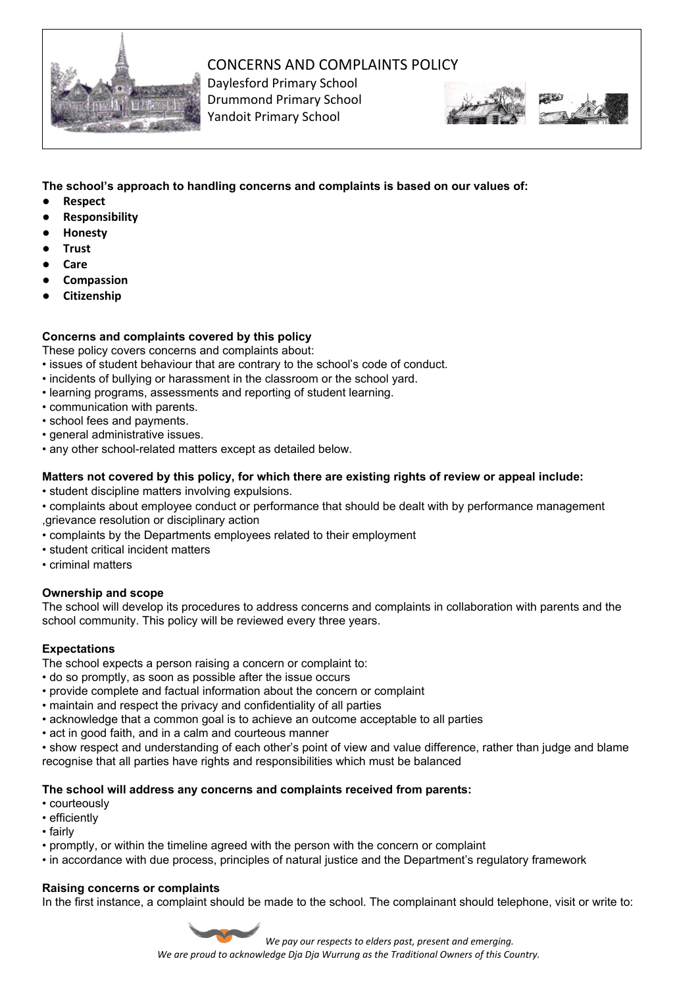

# CONCERNS AND COMPLAINTS POLICY

Daylesford Primary School Drummond Primary School Yandoit Primary School





**The school's approach to handling concerns and complaints is based on our values of:**

- **● Respect**
- **● Responsibility**
- **● Honesty**
- **● Trust**
- **● Care**
- **● Compassion**
- **● Citizenship**

# **Concerns and complaints covered by this policy**

These policy covers concerns and complaints about:

- issues of student behaviour that are contrary to the school's code of conduct.
- incidents of bullying or harassment in the classroom or the school yard.
- learning programs, assessments and reporting of student learning.
- communication with parents.
- school fees and payments.
- general administrative issues.
- any other school-related matters except as detailed below.

## **Matters not covered by this policy, for which there are existing rights of review or appeal include:**

- student discipline matters involving expulsions.
- complaints about employee conduct or performance that should be dealt with by performance management ,grievance resolution or disciplinary action
- complaints by the Departments employees related to their employment
- student critical incident matters
- criminal matters

## **Ownership and scope**

The school will develop its procedures to address concerns and complaints in collaboration with parents and the school community. This policy will be reviewed every three years.

## **Expectations**

The school expects a person raising a concern or complaint to:

- do so promptly, as soon as possible after the issue occurs
- provide complete and factual information about the concern or complaint
- maintain and respect the privacy and confidentiality of all parties
- acknowledge that a common goal is to achieve an outcome acceptable to all parties
- act in good faith, and in a calm and courteous manner
- show respect and understanding of each other's point of view and value difference, rather than judge and blame recognise that all parties have rights and responsibilities which must be balanced

## **The school will address any concerns and complaints received from parents:**

- courteously
- efficiently
- fairly
- promptly, or within the timeline agreed with the person with the concern or complaint
- in accordance with due process, principles of natural justice and the Department's regulatory framework

## **Raising concerns or complaints**

In the first instance, a complaint should be made to the school. The complainant should telephone, visit or write to:

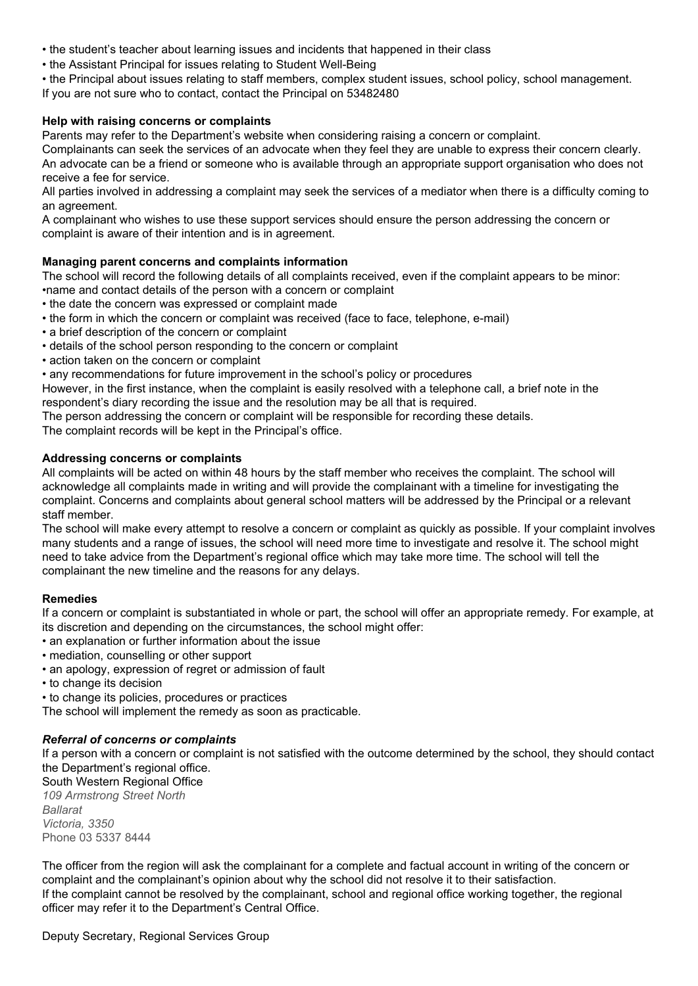- the student's teacher about learning issues and incidents that happened in their class
- the Assistant Principal for issues relating to Student Well-Being
- the Principal about issues relating to staff members, complex student issues, school policy, school management. If you are not sure who to contact, contact the Principal on 53482480

## **Help with raising concerns or complaints**

Parents may refer to the Department's website when considering raising a concern or complaint.

Complainants can seek the services of an advocate when they feel they are unable to express their concern clearly. An advocate can be a friend or someone who is available through an appropriate support organisation who does not receive a fee for service.

All parties involved in addressing a complaint may seek the services of a mediator when there is a difficulty coming to an agreement.

A complainant who wishes to use these support services should ensure the person addressing the concern or complaint is aware of their intention and is in agreement.

## **Managing parent concerns and complaints information**

The school will record the following details of all complaints received, even if the complaint appears to be minor:

•name and contact details of the person with a concern or complaint

- the date the concern was expressed or complaint made
- the form in which the concern or complaint was received (face to face, telephone, e-mail)
- a brief description of the concern or complaint
- details of the school person responding to the concern or complaint
- action taken on the concern or complaint
- any recommendations for future improvement in the school's policy or procedures

However, in the first instance, when the complaint is easily resolved with a telephone call, a brief note in the respondent's diary recording the issue and the resolution may be all that is required.

The person addressing the concern or complaint will be responsible for recording these details.

The complaint records will be kept in the Principal's office.

#### **Addressing concerns or complaints**

All complaints will be acted on within 48 hours by the staff member who receives the complaint. The school will acknowledge all complaints made in writing and will provide the complainant with a timeline for investigating the complaint. Concerns and complaints about general school matters will be addressed by the Principal or a relevant staff member.

The school will make every attempt to resolve a concern or complaint as quickly as possible. If your complaint involves many students and a range of issues, the school will need more time to investigate and resolve it. The school might need to take advice from the Department's regional office which may take more time. The school will tell the complainant the new timeline and the reasons for any delays.

#### **Remedies**

If a concern or complaint is substantiated in whole or part, the school will offer an appropriate remedy. For example, at its discretion and depending on the circumstances, the school might offer:

- an explanation or further information about the issue
- mediation, counselling or other support
- an apology, expression of regret or admission of fault
- to change its decision
- to change its policies, procedures or practices

The school will implement the remedy as soon as practicable.

#### *Referral of concerns or complaints*

If a person with a concern or complaint is not satisfied with the outcome determined by the school, they should contact the Department's regional office.

South Western Regional Office

*109 Armstrong Street North Ballarat Victoria, 3350* Phone 03 5337 8444

The officer from the region will ask the complainant for a complete and factual account in writing of the concern or complaint and the complainant's opinion about why the school did not resolve it to their satisfaction. If the complaint cannot be resolved by the complainant, school and regional office working together, the regional officer may refer it to the Department's Central Office.